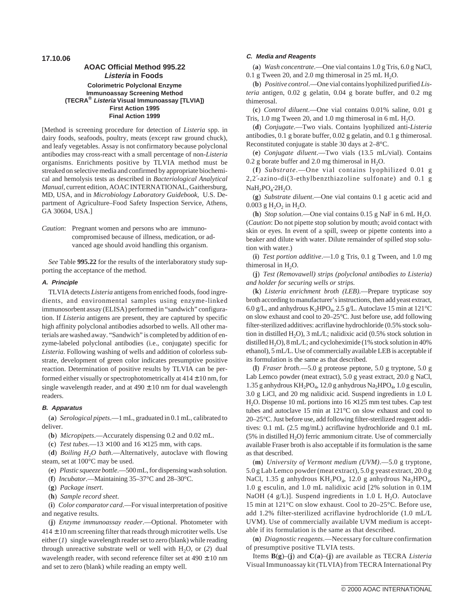# **AOAC Official Method 995.22 Listeria in Foods Colorimetric Polyclonal Enzyme Immunoassay Screening Method (TECRA® Listeria Visual Immunoassay [TLVIA]) First Action 1995 Final Action 1999**

[Method is screening procedure for detection of *Listeria* spp. in dairy foods, seafoods, poultry, meats (except raw ground chuck), and leafy vegetables. Assay is not confirmatory because polyclonal antibodies may cross-react with a small percentage of non-*Listeria* organisms. Enrichments positive by TLVIA method must be streaked on selective media and confirmed by appropriate biochemical and hemolysis tests as described in *Bacteriological Analytical Manual*, current edition, AOAC INTERNATIONAL, Gaithersburg, MD, USA, and in *Microbiology Laboratory Guidebook*, U.S. Department of Agriculture–Food Safety Inspection Service, Athens, GA 30604, USA.]

*Caution*: Pregnant women and persons who are immunocompromised because of illness, medication, or advanced age should avoid handling this organism.

*See* Table **995.22** for the results of the interlaboratory study supporting the acceptance of the method.

## **A. Principle**

TLVIA detects *Listeria* antigens from enriched foods, food ingredients, and environmental samples using enzyme-linked immunosorbent assay (ELISA) performed in "sandwich" configuration. If *Listeria* antigens are present, they are captured by specific high affinity polyclonal antibodies adsorbed to wells. All other materials are washed away. "Sandwich" is completed by addition of enzyme-labeled polyclonal antibodies (i.e., conjugate) specific for *Listeria*. Following washing of wells and addition of colorless substrate, development of green color indicates presumptive positive reaction. Determination of positive results by TLVIA can be performed either visually or spectrophotometrically at  $414 \pm 10$  nm, for single wavelength reader, and at  $490 \pm 10$  nm for dual wavelength readers.

## **B. Apparatus**

(**a**) *Serological pipets*.—1 mL, graduated in 0.1 mL, calibrated to deliver.

(**b**) *Micropipets*.—Accurately dispensing 0.2 and 0.02 mL.

(c) *Test tubes*.—13 × 100 and  $16 \times 125$  mm, with caps.

(d) *Boiling H<sub>2</sub>O bath*.—Alternatively, autoclave with flowing steam, set at 100°C may be used.

(**e**) *Plastic squeeze bottle*.—500 mL, for dispensing wash solution.

(**f**) *Incubator*.—Maintaining 35–37°C and 28–30°C.

(**g**) *Package insert*.

(**h**) *Sample record sheet*.

(**i**) *Color comparator card*.—For visual interpretation of positive and negative results.

(**j**) *Enzyme immunoassay reader*.—Optional. Photometer with  $414 \pm 10$  nm screening filter that reads through microtiter wells. Use either (*1*) single wavelength reader set to zero (blank) while reading through unreactive substrate well or well with  $H_2O$ , or (2) dual wavelength reader, with second reference filter set at  $490 \pm 10$  nm and set to zero (blank) while reading an empty well.

#### **C. Media and Reagents**

(**a**) *Wash concentrate*.—One vial contains 1.0 g Tris, 6.0 g NaCl, 0.1 g Tween 20, and 2.0 mg thimerosal in 25 mL  $H<sub>2</sub>O$ .

(**b**) *Positive control*.—One vial contains lyophilized purified *Listeria* antigen, 0.02 g gelatin, 0.04 g borate buffer, and 0.2 mg thimerosal.

(**c**) *Control diluent*.—One vial contains 0.01% saline, 0.01 g Tris, 1.0 mg Tween 20, and 1.0 mg thimerosal in 6 mL  $H_2O$ .

(**d**) *Conjugate*.—Two vials. Contains lyophilized anti-*Listeria* antibodies, 0.1 g borate buffer, 0.02 g gelatin, and 0.1 g thimerosal. Reconstituted conjugate is stable 30 days at 2–8°C.

(**e**) *Conjugate diluent*.—Two vials (13.5 mL/vial). Contains 0.2 g borate buffer and 2.0 mg thimerosal in  $H_2O$ .

(**f**) *Substrate*.—One vial contains lyophilized 0.01 g 2,2′-azino-di(3-ethylbenzthiazoline sulfonate) and 0.1 g NaH<sub>2</sub>PO<sub>4</sub>⋅2H<sub>2</sub>O.

(**g**) *Substrate diluent*.—One vial contains 0.1 g acetic acid and 0.003 g  $H_2O_2$  in  $H_2O$ .

(**h**) *Stop solution*.—One vial contains  $0.15$  g NaF in 6 mL H<sub>2</sub>O. (*Caution*: Do not pipette stop solution by mouth; avoid contact with skin or eyes. In event of a spill, sweep or pipette contents into a beaker and dilute with water. Dilute remainder of spilled stop solution with water.)

(**i**) *Test portion additive*.—1.0 g Tris, 0.1 g Tween, and 1.0 mg thimerosal in  $H_2O$ .

(**j**) *Test (Removawell) strips (polyclonal antibodies to Listeria) and holder for securing wells or strips.*

(**k**) *Listeria enrichment broth (LEB)*.—Prepare trypticase soy broth according to manufacturer's instructions, then add yeast extract, 6.0 g/L, and anhydrous  $K_2HPO_4$ , 2.5 g/L. Autoclave 15 min at 121 °C on slow exhaust and cool to 20–25°C. Just before use, add following filter-sterilized additives: acriflavine hydrochloride (0.5% stock solution in distilled H<sub>2</sub>O), 3 mL/L; nalidixic acid  $(0.5\%$  stock solution in distilled  $H_2O$ ),  $8 \text{ mL/L}$ ; and cycloheximide (1% stock solution in 40% ethanol), 5 mL/L. Use of commercially available LEB is acceptable if its formulation is the same as that described.

(**l**) *Fraser broth*.—5.0 g proteose peptone, 5.0 g tryptone, 5.0 g Lab Lemco powder (meat extract), 5.0 g yeast extract, 20.0 g NaCl, 1.35 g anhydrous  $KH_2PO_4$ , 12.0 g anhydrous  $Na_2HPO_4$ , 1.0 g esculin, 3.0 g LiCl, and 20 mg nalidixic acid. Suspend ingredients in 1.0 L H<sub>2</sub>O. Dispense 10 mL portions into  $16 \times 125$  mm test tubes. Cap test tubes and autoclave 15 min at 121°C on slow exhaust and cool to 20–25°C. Just before use, add following filter-sterilized reagent additives: 0.1 mL (2.5 mg/mL) acriflavine hydrochloride and 0.1 mL  $(5\%$  in distilled H<sub>2</sub>O) ferric ammonium citrate. Use of commercially available Fraser broth is also acceptable if its formulation is the same as that described.

(**m**) *University of Vermont medium (UVM)*.—5.0 g tryptone, 5.0 g Lab Lemco powder (meat extract), 5.0 g yeast extract, 20.0 g NaCl, 1.35 g anhydrous  $KH_2PO_4$ , 12.0 g anhydrous Na<sub>2</sub>HPO<sub>4</sub>, 1.0 g esculin, and 1.0 mL nalidixic acid [2% solution in 0.1M NaOH (4 g/L)]. Suspend ingredients in 1.0 L H<sub>2</sub>O. Autoclave 15 min at 121°C on slow exhaust. Cool to 20–25°C. Before use, add 1.2% filter-sterilized acriflavine hydrochloride (1.0 mL/L UVM). Use of commercially available UVM medium is acceptable if its formulation is the same as that described.

(**n**) *Diagnostic reagents*.—Necessary for culture confirmation of presumptive positive TLVIA tests.

Items **B**(**g**)–(**j**) and **C**(**a**)–(**j**) are available as TECRA *Listeria* Visual Immunoassay kit (TLVIA) from TECRA International Pty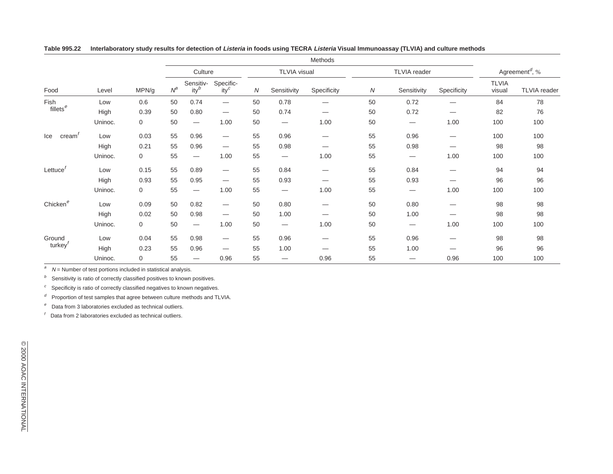|                               | Level   | MPN/g       | Methods |                                 |                                 |                     |                                 |             |                     |                                 |                                 |                                         |                     |
|-------------------------------|---------|-------------|---------|---------------------------------|---------------------------------|---------------------|---------------------------------|-------------|---------------------|---------------------------------|---------------------------------|-----------------------------------------|---------------------|
|                               |         |             | Culture |                                 |                                 | <b>TLVIA</b> visual |                                 |             | <b>TLVIA</b> reader |                                 |                                 | Agreement <sup><math>d</math></sup> , % |                     |
| Food                          |         |             | $N^a$   | Sensitiv-<br>$ity^b$            | Specific-<br>$ity^c$            | N                   | Sensitivity                     | Specificity | $\boldsymbol{N}$    | Sensitivity                     | Specificity                     | <b>TLVIA</b><br>visual                  | <b>TLVIA</b> reader |
| Fish<br>fillets <sup>e</sup>  | Low     | 0.6         | 50      | 0.74                            | $\qquad \qquad \longleftarrow$  | 50                  | 0.78                            |             | 50                  | 0.72                            | --                              | 84                                      | 78                  |
|                               | High    | 0.39        | 50      | 0.80                            | $\hspace{0.1mm}-\hspace{0.1mm}$ | 50                  | 0.74                            |             | 50                  | 0.72                            | $\overline{\phantom{0}}$        | 82                                      | 76                  |
|                               | Uninoc. | $\mathbf 0$ | 50      | $\hspace{0.1mm}-\hspace{0.1mm}$ | 1.00                            | 50                  | $\hspace{0.05cm}$               | 1.00        | 50                  | $\hspace{0.1mm}-\hspace{0.1mm}$ | 1.00                            | 100                                     | 100                 |
| Ice<br>cream'                 | Low     | 0.03        | 55      | 0.96                            | $\hspace{0.1mm}-\hspace{0.1mm}$ | 55                  | 0.96                            |             | 55                  | 0.96                            |                                 | 100                                     | 100                 |
|                               | High    | 0.21        | 55      | 0.96                            | $\hspace{0.1mm}-\hspace{0.1mm}$ | 55                  | 0.98                            |             | 55                  | 0.98                            | $\hspace{0.1mm}-\hspace{0.1mm}$ | 98                                      | 98                  |
|                               | Uninoc. | $\mathbf 0$ | 55      | $\hspace{0.1mm}-\hspace{0.1mm}$ | 1.00                            | 55                  | $\hspace{0.1mm}-\hspace{0.1mm}$ | 1.00        | 55                  | $\hspace{0.1mm}-\hspace{0.1mm}$ | 1.00                            | 100                                     | 100                 |
| Lettuce $r$                   | Low     | 0.15        | 55      | 0.89                            | $\hspace{0.1mm}-\hspace{0.1mm}$ | 55                  | 0.84                            |             | 55                  | 0.84                            | —                               | 94                                      | 94                  |
|                               | High    | 0.93        | 55      | 0.95                            | $\hspace{0.1mm}-\hspace{0.1mm}$ | 55                  | 0.93                            |             | 55                  | 0.93                            | —                               | 96                                      | 96                  |
|                               | Uninoc. | $\mathbf 0$ | 55      | $\hspace{0.1mm}-\hspace{0.1mm}$ | 1.00                            | 55                  | $\overline{\phantom{m}}$        | 1.00        | 55                  | $\hspace{0.1mm}-\hspace{0.1mm}$ | 1.00                            | 100                                     | 100                 |
| Chicken <sup>e</sup>          | Low     | 0.09        | 50      | 0.82                            | $\hspace{0.1mm}-\hspace{0.1mm}$ | 50                  | 0.80                            |             | 50                  | 0.80                            | —                               | 98                                      | 98                  |
|                               | High    | 0.02        | 50      | 0.98                            | $\hspace{0.1mm}-\hspace{0.1mm}$ | 50                  | 1.00                            |             | 50                  | 1.00                            | —                               | 98                                      | 98                  |
|                               | Uninoc. | $\mathbf 0$ | 50      |                                 | 1.00                            | 50                  | $\hspace{0.1mm}-\hspace{0.1mm}$ | 1.00        | 50                  | $\hspace{0.1mm}-\hspace{0.1mm}$ | 1.00                            | 100                                     | 100                 |
| Ground<br>turkey <sup>'</sup> | Low     | 0.04        | 55      | 0.98                            | $\qquad \qquad \longleftarrow$  | 55                  | 0.96                            | —           | 55                  | 0.96                            | —                               | 98                                      | 98                  |
|                               | High    | 0.23        | 55      | 0.96                            |                                 | 55                  | 1.00                            |             | 55                  | 1.00                            |                                 | 96                                      | 96                  |
|                               | Uninoc. | $\mathbf 0$ | 55      |                                 | 0.96                            | 55                  | $\overline{\phantom{m}}$        | 0.96        | 55                  | $\overbrace{\phantom{12333}}$   | 0.96                            | 100                                     | 100                 |

Table 995.22 Interlaboratory study results for detection of Listeria in foods using TECRA Listeria Visual Immunoassay (TLVIA) and culture methods

a $N =$  Number of test portions included in statistical analysis.

 $b$  Sensitivity is ratio of correctly classified positives to known positives.

 $\degree$  Specificity is ratio of correctly classified negatives to known negatives.

 $d$  Proportion of test samples that agree between culture methods and TLVIA.

 $e<sup>e</sup>$  Data from 3 laboratories excluded as technical outliers.

 $<sup>f</sup>$  Data from 2 laboratories excluded as technical outliers.</sup>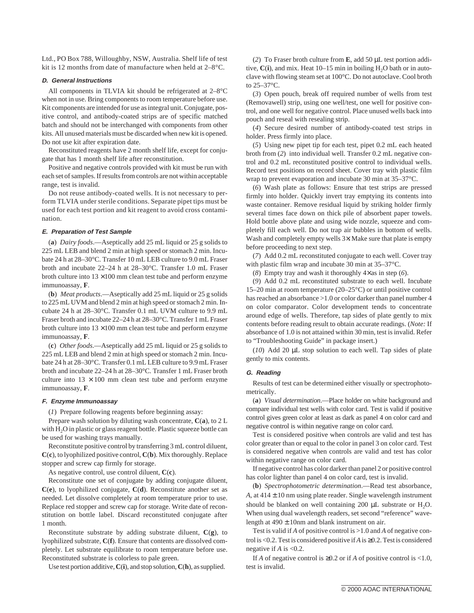Ltd., PO Box 788, Willoughby, NSW, Australia. Shelf life of test kit is 12 months from date of manufacture when held at 2–8°C.

#### **D. General Instructions**

All components in TLVIA kit should be refrigerated at 2–8°C when not in use. Bring components to room temperature before use. Kit components are intended for use as integral unit. Conjugate, positive control, and antibody-coated strips are of specific matched batch and should not be interchanged with components from other kits. All unused materials must be discarded when new kit is opened. Do not use kit after expiration date.

Reconstituted reagents have 2 month shelf life, except for conjugate that has 1 month shelf life after reconstitution.

Positive and negative controls provided with kit must be run with each set of samples. If results from controls are not within acceptable range, test is invalid.

Do not reuse antibody-coated wells. It is not necessary to perform TLVIA under sterile conditions. Separate pipet tips must be used for each test portion and kit reagent to avoid cross contamination.

#### **E. Preparation of Test Sample**

(**a**) *Dairy foods*.—Aseptically add 25 mL liquid or 25 g solids to 225 mL LEB and blend 2 min at high speed or stomach 2 min. Incubate 24 h at 28–30°C. Transfer 10 mL LEB culture to 9.0 mL Fraser broth and incubate 22–24 h at 28–30°C. Transfer 1.0 mL Fraser broth culture into  $13 \times 100$  mm clean test tube and perform enzyme immunoassay, **F**.

(**b**) *Meat products*.—Aseptically add 25 mL liquid or 25 g solids to 225 mL UVM and blend 2 min at high speed or stomach 2 min. Incubate 24 h at 28–30°C. Transfer 0.1 mL UVM culture to 9.9 mL Fraser broth and incubate 22–24 h at 28–30°C. Transfer 1 mL Fraser broth culture into  $13 \times 100$  mm clean test tube and perform enzyme immunoassay, **F**.

(**c**) *Other foods*.—Aseptically add 25 mL liquid or 25 g solids to 225 mL LEB and blend 2 min at high speed or stomach 2 min. Incubate 24 h at 28–30°C. Transfer 0.1 mL LEB culture to 9.9 mL Fraser broth and incubate 22–24 h at 28–30°C. Transfer 1 mL Fraser broth culture into  $13 \times 100$  mm clean test tube and perform enzyme immunoassay, **F**.

#### **F. Enzyme Immunoassay**

(*1*) Prepare following reagents before beginning assay:

Prepare wash solution by diluting wash concentrate, **C**(**a**), to 2 L with H<sub>2</sub>O in plastic or glass reagent bottle. Plastic squeeze bottle can be used for washing trays manually.

Reconstitute positive control by transferring 3 mL control diluent, **C**(**c**), to lyophilized positive control, **C**(**b**). Mix thoroughly. Replace stopper and screw cap firmly for storage.

As negative control, use control diluent, **C**(**c**).

Reconstitute one set of conjugate by adding conjugate diluent, **C**(**e**), to lyophilized conjugate, **C**(**d**). Reconstitute another set as needed. Let dissolve completely at room temperature prior to use. Replace red stopper and screw cap for storage. Write date of reconstitution on bottle label. Discard reconstituted conjugate after 1 month.

Reconstitute substrate by adding substrate diluent, **C**(**g**), to lyophilized substrate, **C**(**f**). Ensure that contents are dissolved completely. Let substrate equilibrate to room temperature before use. Reconstituted substrate is colorless to pale green.

Use test portion additive,**C**(**i**), and stop solution,**C**(**h**), as supplied.

(*2*) To Fraser broth culture from **E**, add 50 µL test portion additive,  $C(i)$ , and mix. Heat 10–15 min in boiling  $H_2O$  bath or in autoclave with flowing steam set at 100°C. Do not autoclave. Cool broth to 25–37°C.

(*3*) Open pouch, break off required number of wells from test (Removawell) strip, using one well/test, one well for positive control, and one well for negative control. Place unused wells back into pouch and reseal with resealing strip.

(*4*) Secure desired number of antibody-coated test strips in holder. Press firmly into place.

(*5*) Using new pipet tip for each test, pipet 0.2 mL each heated broth from (*2*) into individual well. Transfer 0.2 mL negative control and 0.2 mL reconstituted positive control to individual wells. Record test positions on record sheet. Cover tray with plastic film wrap to prevent evaporation and incubate 30 min at 35–37°C.

(*6*) Wash plate as follows: Ensure that test strips are pressed firmly into holder. Quickly invert tray emptying its contents into waste container. Remove residual liquid by striking holder firmly several times face down on thick pile of absorbent paper towels. Hold bottle above plate and using wide nozzle, squeeze and completely fill each well. Do not trap air bubbles in bottom of wells. Wash and completely empty wells  $3\times$  Make sure that plate is empty before proceeding to next step.

(*7*) Add 0.2 mL reconstituted conjugate to each well. Cover tray with plastic film wrap and incubate 30 min at 35–37°C.

(*8*) Empty tray and wash it thoroughly 4×as in step (*6*).

(*9*) Add 0.2 mL reconstituted substrate to each well. Incubate 15–20 min at room temperature (20–25°C) or until positive control has reached an absorbance >1.0 or color darker than panel number 4 on color comparator. Color development tends to concentrate around edge of wells. Therefore, tap sides of plate gently to mix contents before reading result to obtain accurate readings. (*Note:* If absorbance of 1.0 is not attained within 30 min, test is invalid. Refer to "Troubleshooting Guide" in package insert.)

(*10*) Add 20 µL stop solution to each well. Tap sides of plate gently to mix contents.

## **G. Reading**

Results of test can be determined either visually or spectrophotometrically.

(**a**) *Visual determination*.—Place holder on white background and compare individual test wells with color card. Test is valid if positive control gives green color at least as dark as panel 4 on color card and negative control is within negative range on color card.

Test is considered positive when controls are valid and test has color greater than or equal to the color in panel 3 on color card. Test is considered negative when controls are valid and test has color within negative range on color card.

If negative control has color darker than panel 2 or positive control has color lighter than panel 4 on color card, test is invalid.

(**b**) *Spectrophotometric determination*.—Read test absorbance, *A*, at  $414 \pm 10$  nm using plate reader. Single wavelength instrument should be blanked on well containing 200  $\mu$ L substrate or H<sub>2</sub>O. When using dual wavelength readers, set second "reference" wavelength at  $490 \pm 10$ nm and blank instrument on air.

Test is valid if *A* of positive control is >1.0 and *A* of negative control is <0.2. Test is considered positive if*A* is ≥0.2. Test is considered negative if *A* is <0.2.

If *A* of negative control is  $\geq 0.2$  or if *A* of positive control is <1.0, test is invalid.